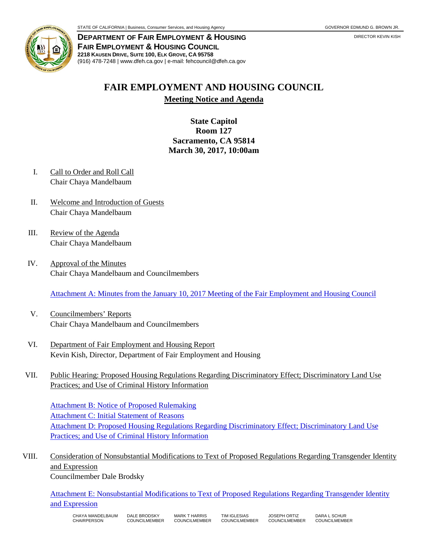

**DEPARTMENT OF FAIR EMPLOYMENT & HOUSING FAIR EMPLOYMENT & HOUSING COUNCIL 2218 KAUSEN DRIVE, SUITE 100, ELK GROVE, CA 95758** (916) 478-7248 | www.dfeh.ca.gov | e-mail: fehcouncil@dfeh.ca.gov

## **FAIR EMPLOYMENT AND HOUSING COUNCIL Meeting Notice and Agenda**

**State Capitol Room 127 Sacramento, CA 95814 March 30, 2017, 10:00am** 

- I. Call to Order and Roll Call Chair Chaya Mandelbaum
- II. Welcome and Introduction of Guests Chair Chaya Mandelbaum
- III. Review of the Agenda Chair Chaya Mandelbaum
- IV. Approval of the Minutes Chair Chaya Mandelbaum and Councilmembers

[Attachment A: Minutes from the January 10, 2017 Meeting of the Fair Employment and Housing Council](/wp-content/uploads/sites/32/2017/06/AttachA-FEHCMinutes2017Jan10.pdf)

- V. Councilmembers' Reports Chair Chaya Mandelbaum and Councilmembers
- VI. Department of Fair Employment and Housing Report Kevin Kish, Director, Department of Fair Employment and Housing
- VII. Public Hearing: Proposed Housing Regulations Regarding Discriminatory Effect; Discriminatory Land Use Practices; and Use of Criminal History Information

[Attachment B: Notice of Proposed Rulemaking](/wp-content/uploads/sites/32/2017/06/AttachB-NtcHouseReg4CriminalHistory.pdf) [Attachment C: Initial Statement of Reasons](/wp-content/uploads/sites/32/2017/06/AttachC-InitStmtofReasons4HouseReg.pdf) [Attachment D: Proposed Housing Regulations Regarding Discriminatory Effect; Discriminatory Land Use](/wp-content/uploads/sites/32/2017/06/AttachD-TextProposedHoueRegUseofCriminalHistory.pdf) [Practices; and Use of Criminal History Information](/wp-content/uploads/sites/32/2017/06/AttachD-TextProposedHoueRegUseofCriminalHistory.pdf)

VIII. Consideration of Nonsubstantial Modifications to Text of Proposed Regulations Regarding Transgender Identity and Expression

Councilmember Dale Brodsky

[Attachment E: Nonsubstantial Modifications to Text of Proposed Regulations Regarding Transgender Identity](/wp-content/uploads/sites/32/2017/06/AttachE-NonsubstantialModTextRegTransgenderIdExpression.pdf) [and Expression](/files/2017/03/AttachE-NonsubstantialModTextRegTransgenderIdExpression.pdf)